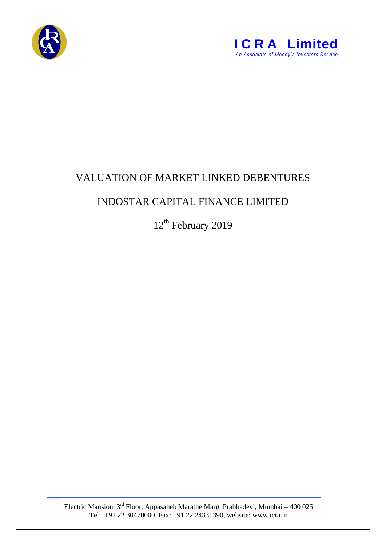



## VALUATION OF MARKET LINKED DEBENTURES

## INDOSTAR CAPITAL FINANCE LIMITED

12<sup>th</sup> February 2019

Electric Mansion,  $3<sup>rd</sup>$  Floor, Appasaheb Marathe Marg, Prabhadevi, Mumbai – 400 025 Tel: +91 22 30470000, Fax: +91 22 24331390, website: www.icra.in